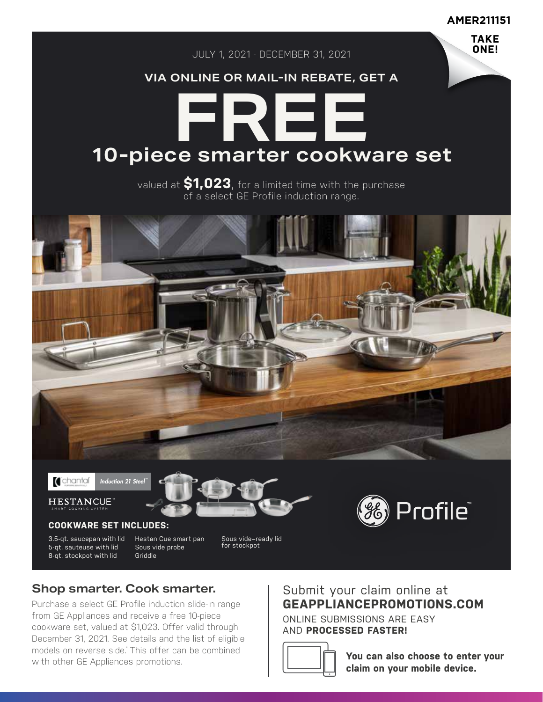**AMER211151**

**TAKE ONE!**

JULY 1, 2021 - DECEMBER 31, 2021

## **VIA ONLINE OR MAIL-IN REBATE, GET A**

# **FREE 10-piece smarter cookware set**

valued at **\$1,023**, for a limited time with the purchase of a select GE Profile induction range.







## **COOKWARE SET INCLUDES:**

3.5-qt. saucepan with lid 5-qt. sauteuse with lid 8-qt. stockpot with lid

Hestan Cue smart pan Sous vide probe Griddle

Sous vide–ready lid for stockpot



# **Shop smarter. Cook smarter.**

Purchase a select GE Profile induction slide-in range from GE Appliances and receive a free 10-piece cookware set, valued at \$1,023. Offer valid through December 31, 2021. See details and the list of eligible models on reverse side.\* This offer can be combined with other GE Appliances promotions.

# Submit your claim online at **GEAPPLIANCEPROMOTIONS.COM**

ONLINE SUBMISSIONS ARE EASY AND **PROCESSED FASTER!**



**You can also choose to enter your claim on your mobile device.**